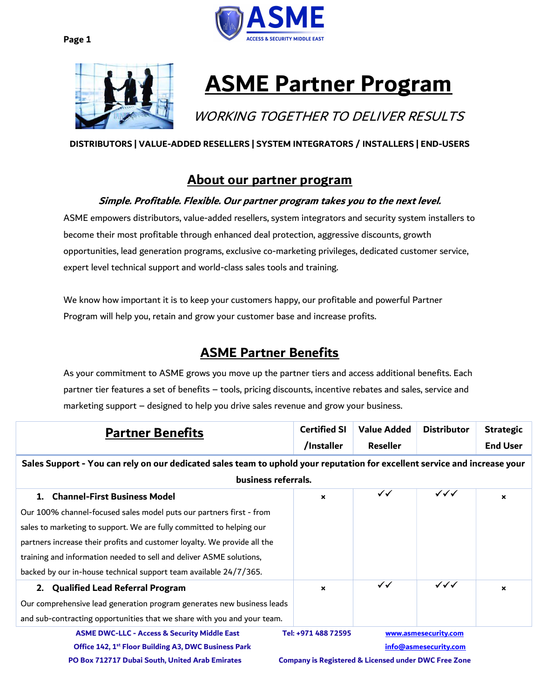



# **ASME Partner Program**

# WORKING TOGETHER TO DELIVER RESULTS

### DISTRIBUTORS | VALUE-ADDED RESELLERS | SYSTEM INTEGRATORS / INSTALLERS | END-USERS

### About our partner program

### Simple. Profitable. Flexible. Our partner program takes you to the next level.

ASME empowers distributors, value-added resellers, system integrators and security system installers to become their most profitable through enhanced deal protection, aggressive discounts, growth opportunities, lead generation programs, exclusive co-marketing privileges, dedicated customer service, expert level technical support and world-class sales tools and training.

We know how important it is to keep your customers happy, our profitable and powerful Partner Program will help you, retain and grow your customer base and increase profits.

## ASME Partner Benefits

As your commitment to ASME grows you move up the partner tiers and access additional benefits. Each partner tier features a set of benefits – tools, pricing discounts, incentive rebates and sales, service and marketing support – designed to help you drive sales revenue and grow your business.

| <b>Partner Benefits</b>                                                                                                    | <b>Certified SI</b><br>/Installer                               | Value Added<br>Reseller | <b>Distributor</b>     | <b>Strategic</b><br><b>End User</b> |
|----------------------------------------------------------------------------------------------------------------------------|-----------------------------------------------------------------|-------------------------|------------------------|-------------------------------------|
| Sales Support - You can rely on our dedicated sales team to uphold your reputation for excellent service and increase your |                                                                 |                         |                        |                                     |
| business referrals.                                                                                                        |                                                                 |                         |                        |                                     |
| <b>Channel-First Business Model</b><br>1.                                                                                  | $\boldsymbol{\mathsf{x}}$                                       | $\checkmark$            | $\checkmark\checkmark$ | $\boldsymbol{\mathsf{x}}$           |
| Our 100% channel-focused sales model puts our partners first - from                                                        |                                                                 |                         |                        |                                     |
| sales to marketing to support. We are fully committed to helping our                                                       |                                                                 |                         |                        |                                     |
| partners increase their profits and customer loyalty. We provide all the                                                   |                                                                 |                         |                        |                                     |
| training and information needed to sell and deliver ASME solutions,                                                        |                                                                 |                         |                        |                                     |
| backed by our in-house technical support team available 24/7/365.                                                          |                                                                 |                         |                        |                                     |
| 2. Qualified Lead Referral Program                                                                                         | $\boldsymbol{\mathsf{x}}$                                       | $\checkmark$            | $\checkmark\checkmark$ | $\boldsymbol{\mathsf{x}}$           |
| Our comprehensive lead generation program generates new business leads                                                     |                                                                 |                         |                        |                                     |
| and sub-contracting opportunities that we share with you and your team.                                                    |                                                                 |                         |                        |                                     |
| <b>ASME DWC-LLC - Access &amp; Security Middle East</b>                                                                    | Tel: +971 488 72595                                             |                         | www.asmesecurity.com   |                                     |
| Office 142, 1 <sup>st</sup> Floor Building A3, DWC Business Park                                                           | info@asmesecurity.com                                           |                         |                        |                                     |
| PO Box 712717 Dubai South, United Arab Emirates                                                                            | <b>Company is Registered &amp; Licensed under DWC Free Zone</b> |                         |                        |                                     |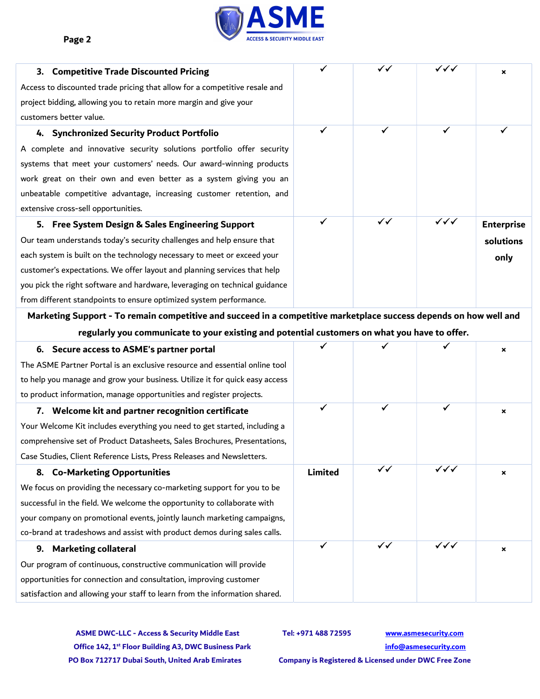

| <b>Competitive Trade Discounted Pricing</b><br>3.                          | $\checkmark$ | $\checkmark$ | ノイイ                    | $\mathbf x$       |
|----------------------------------------------------------------------------|--------------|--------------|------------------------|-------------------|
| Access to discounted trade pricing that allow for a competitive resale and |              |              |                        |                   |
| project bidding, allowing you to retain more margin and give your          |              |              |                        |                   |
| customers better value.                                                    |              |              |                        |                   |
| 4. Synchronized Security Product Portfolio                                 | $\checkmark$ |              | ✓                      |                   |
| A complete and innovative security solutions portfolio offer security      |              |              |                        |                   |
| systems that meet your customers' needs. Our award-winning products        |              |              |                        |                   |
| work great on their own and even better as a system giving you an          |              |              |                        |                   |
| unbeatable competitive advantage, increasing customer retention, and       |              |              |                        |                   |
| extensive cross-sell opportunities.                                        |              |              |                        |                   |
| 5. Free System Design & Sales Engineering Support                          | ✓            | $\checkmark$ | $\checkmark\checkmark$ | <b>Enterprise</b> |
| Our team understands today's security challenges and help ensure that      |              |              |                        | solutions         |
| each system is built on the technology necessary to meet or exceed your    |              |              |                        | only              |
| customer's expectations. We offer layout and planning services that help   |              |              |                        |                   |
| you pick the right software and hardware, leveraging on technical guidance |              |              |                        |                   |
| from different standpoints to ensure optimized system performance.         |              |              |                        |                   |

Marketing Support - To remain competitive and succeed in a competitive marketplace success depends on how well and regularly you communicate to your existing and potential customers on what you have to offer.

| 6. Secure access to ASME's partner portal                                   |                |              |                        | × |
|-----------------------------------------------------------------------------|----------------|--------------|------------------------|---|
| The ASME Partner Portal is an exclusive resource and essential online tool  |                |              |                        |   |
| to help you manage and grow your business. Utilize it for quick easy access |                |              |                        |   |
| to product information, manage opportunities and register projects.         |                |              |                        |   |
| 7. Welcome kit and partner recognition certificate                          | $\checkmark$   | ✓            | ✓                      | × |
| Your Welcome Kit includes everything you need to get started, including a   |                |              |                        |   |
| comprehensive set of Product Datasheets, Sales Brochures, Presentations,    |                |              |                        |   |
| Case Studies, Client Reference Lists, Press Releases and Newsletters.       |                |              |                        |   |
| 8. Co-Marketing Opportunities                                               | <b>Limited</b> | $\checkmark$ | $\checkmark\checkmark$ | × |
| We focus on providing the necessary co-marketing support for you to be      |                |              |                        |   |
| successful in the field. We welcome the opportunity to collaborate with     |                |              |                        |   |
| your company on promotional events, jointly launch marketing campaigns,     |                |              |                        |   |
| co-brand at tradeshows and assist with product demos during sales calls.    |                |              |                        |   |
| <b>Marketing collateral</b><br>9.                                           | ✓              | $\checkmark$ | $\checkmark\checkmark$ | × |
| Our program of continuous, constructive communication will provide          |                |              |                        |   |
| opportunities for connection and consultation, improving customer           |                |              |                        |   |
| satisfaction and allowing your staff to learn from the information shared.  |                |              |                        |   |

ASME DWC-LLC - Access & Security Middle East Tel: +971 488 72595 www.asmesecurity.com Office 142, 1<sup>st</sup> Floor Building A3, DWC Business Park info@asmesecurity.com PO Box 712717 Dubai South, United Arab Emirates Company is Registered & Licensed under DWC Free Zone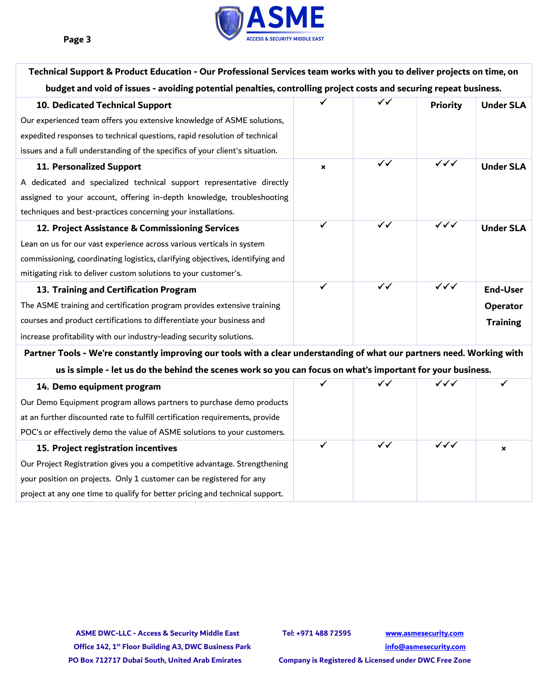

| Technical Support & Product Education - Our Professional Services team works with you to deliver projects on time, on   |                |                         |                      |                  |
|-------------------------------------------------------------------------------------------------------------------------|----------------|-------------------------|----------------------|------------------|
| budget and void of issues - avoiding potential penalties, controlling project costs and securing repeat business.       |                |                         |                      |                  |
| 10. Dedicated Technical Support                                                                                         |                | $\checkmark$            | <b>Priority</b>      | <b>Under SLA</b> |
| Our experienced team offers you extensive knowledge of ASME solutions,                                                  |                |                         |                      |                  |
| expedited responses to technical questions, rapid resolution of technical                                               |                |                         |                      |                  |
| issues and a full understanding of the specifics of your client's situation.                                            |                |                         |                      |                  |
| 11. Personalized Support                                                                                                | $\pmb{\times}$ | $\checkmark$            | $\sqrt{\sqrt{}}$     | <b>Under SLA</b> |
| A dedicated and specialized technical support representative directly                                                   |                |                         |                      |                  |
| assigned to your account, offering in-depth knowledge, troubleshooting                                                  |                |                         |                      |                  |
| techniques and best-practices concerning your installations.                                                            |                |                         |                      |                  |
| 12. Project Assistance & Commissioning Services                                                                         | ✓              | $\overline{\checkmark}$ | $\sqrt{\checkmark}}$ | <b>Under SLA</b> |
| Lean on us for our vast experience across various verticals in system                                                   |                |                         |                      |                  |
| commissioning, coordinating logistics, clarifying objectives, identifying and                                           |                |                         |                      |                  |
| mitigating risk to deliver custom solutions to your customer's.                                                         |                |                         |                      |                  |
| 13. Training and Certification Program                                                                                  | $\checkmark$   | $\checkmark$            | $\sqrt{\checkmark}}$ | <b>End-User</b>  |
| The ASME training and certification program provides extensive training                                                 |                |                         |                      | Operator         |
| courses and product certifications to differentiate your business and                                                   |                |                         |                      | <b>Training</b>  |
| increase profitability with our industry-leading security solutions.                                                    |                |                         |                      |                  |
| Partner Tools - We're constantly improving our tools with a clear understanding of what our partners need. Working with |                |                         |                      |                  |
| us is simple - let us do the behind the scenes work so you can focus on what's important for your business.             |                |                         |                      |                  |
| 14. Demo equipment program                                                                                              | $\checkmark$   | $\checkmark$            | ✓✓✓                  |                  |
| Our Demo Equipment program allows partners to purchase demo products                                                    |                |                         |                      |                  |
| at an further discounted rate to fulfill certification requirements, provide                                            |                |                         |                      |                  |

ASME DWC-LLC - Access & Security Middle East Tel: +971 488 72595 www.asmesecurity.com Office 142, 1<sup>st</sup> Floor Building A3, DWC Business Park info@asmesecurity.com PO Box 712717 Dubai South, United Arab Emirates Company is Registered & Licensed under DWC Free Zone

POC's or effectively demo the value of ASME solutions to your customers.

Our Project Registration gives you a competitive advantage. Strengthening

project at any one time to qualify for better pricing and technical support.

your position on projects. Only 1 customer can be registered for any

15. Project registration incentives

*v* √ √ √ √ × ∴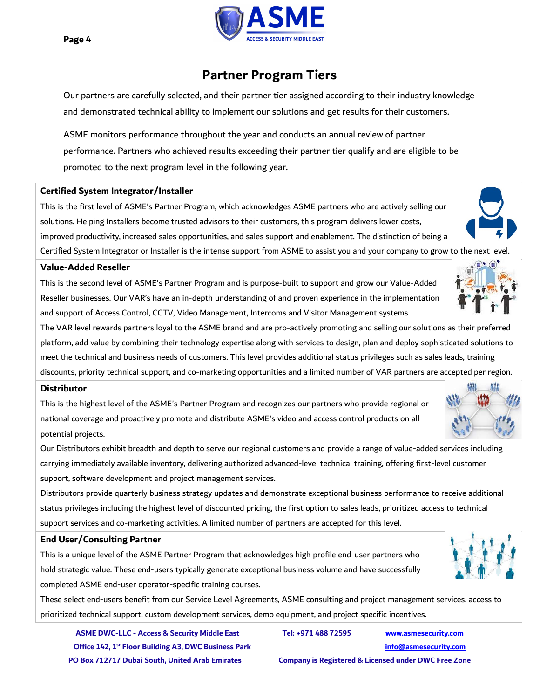

### Partner Program Tiers

Our partners are carefully selected, and their partner tier assigned according to their industry knowledge and demonstrated technical ability to implement our solutions and get results for their customers.

ASME monitors performance throughout the year and conducts an annual review of partner performance. Partners who achieved results exceeding their partner tier qualify and are eligible to be promoted to the next program level in the following year.

#### Certified System Integrator/Installer

This is the first level of ASME's Partner Program, which acknowledges ASME partners who are actively selling our solutions. Helping Installers become trusted advisors to their customers, this program delivers lower costs, improved productivity, increased sales opportunities, and sales support and enablement. The distinction of being a

Certified System Integrator or Installer is the intense support from ASME to assist you and your company to grow to the next level.

### Value-Added Reseller

This is the second level of ASME's Partner Program and is purpose-built to support and grow our Value-Added Reseller businesses. Our VAR's have an in-depth understanding of and proven experience in the implementation and support of Access Control, CCTV, Video Management, Intercoms and Visitor Management systems.

The VAR level rewards partners loyal to the ASME brand and are pro-actively promoting and selling our solutions as their preferred platform, add value by combining their technology expertise along with services to design, plan and deploy sophisticated solutions to meet the technical and business needs of customers. This level provides additional status privileges such as sales leads, training discounts, priority technical support, and co-marketing opportunities and a limited number of VAR partners are accepted per region.

#### **Distributor**

This is the highest level of the ASME's Partner Program and recognizes our partners who provide regional or national coverage and proactively promote and distribute ASME's video and access control products on all potential projects.

Our Distributors exhibit breadth and depth to serve our regional customers and provide a range of value-added services including carrying immediately available inventory, delivering authorized advanced-level technical training, offering first-level customer support, software development and project management services.

Distributors provide quarterly business strategy updates and demonstrate exceptional business performance to receive additional status privileges including the highest level of discounted pricing, the first option to sales leads, prioritized access to technical support services and co-marketing activities. A limited number of partners are accepted for this level.

### End User/Consulting Partner

This is a unique level of the ASME Partner Program that acknowledges high profile end-user partners who hold strategic value. These end-users typically generate exceptional business volume and have successfully completed ASME end-user operator-specific training courses.

These select end-users benefit from our Service Level Agreements, ASME consulting and project management services, access to prioritized technical support, custom development services, demo equipment, and project specific incentives.

ASME DWC-LLC - Access & Security Middle East Tel: +971 488 72595 www.asmesecurity.com Office 142, 1<sup>st</sup> Floor Building A3, DWC Business Park info@asmesecurity.com PO Box 712717 Dubai South, United Arab Emirates Company is Registered & Licensed under DWC Free Zone